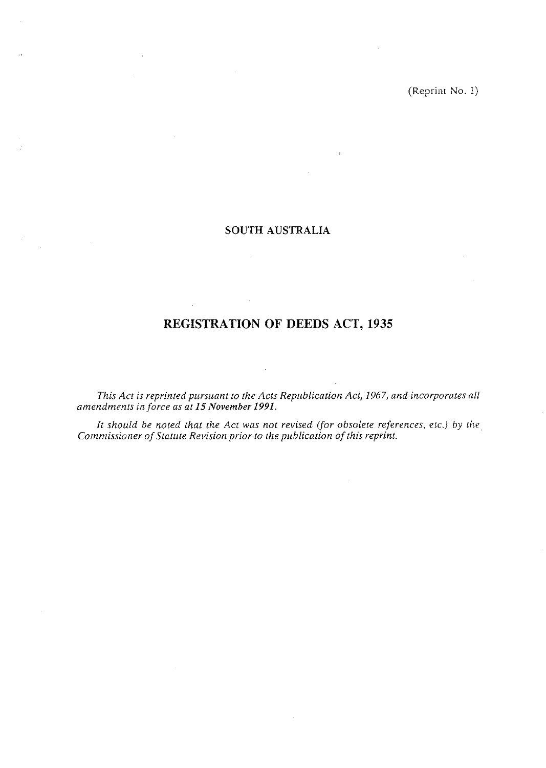# **SOUTH AUSTRALIA**

 $\ddot{\nu}$ 

# **REGISTRATION OF DEEDS ACT, 1935**

*This Act is reprinted pursuant to the Acts Republication Act, 1967, and incorporates ail nmendmcnls in force as at 15 November* **1991.** 

It should be noted that the Act was not revised (for obsolete references, etc.) by the *Commissioner of Statttte Revision prior to the p~iblication of this reprint.* 

 $\hat{\mathcal{A}}$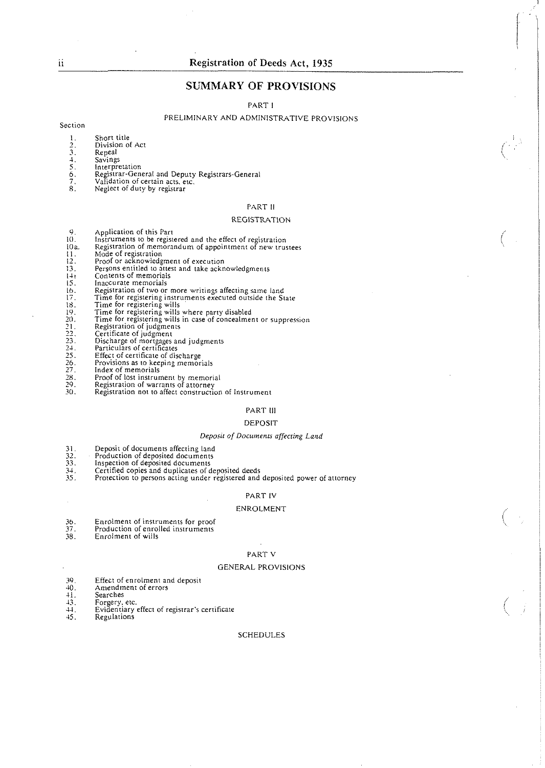## **SUMMARY OF PROVISIONS**

PART l

#### PRELIMINARY AND ADMINISTRATIVE PROVISIONS

Section

- I. Short title
- 2. Division of Act 3. Repeal 2. Division<br>
3. Repeal<br>
4. Savings<br>
5. Interpre<br>
6. Registre<br>
7. Validati<br>
8. Neglect
- 
- *5,* Interpretation
- *b.* Registrar-General and Deputy Registrars-General
- *7.* Validation of certain acts. etc.
- Neglect of duty by registrar

#### PART ll

#### REGISTRATION

- Application of this Part
- $\frac{9}{10}$
- Instruments to be registered and the effect of registration Registration of memorandum of appointment of new trustees 10<sub>a</sub>
- 
- Mode of registration<br>Proof or acknowledgment of execution
- 
- 
- Inaccurate memorials
- Registration of two or more writings affecting same land Time for registering instruments executed outside the State
- 
- Time for registering wills
- 
- Time for registering wills where party disabled Time for registering wills in case of concealment or suppression Registration of judgments
- 
- 
- Certificate of judgment<br>Discharge of mortgages and judgments<br>Particulars of certificate<br>Effect of certificate of discharge<br>Provisions as to keeping memorials<br>Index of memorials
- 
- $1123115678$ <br> $12351567$ <br> $12322222222$ <br> $2222222$
- 
- $\overline{28}$ .
- $\overline{29}$ .
- Proof of lost instrument by memorial Registration of warrants of attorney Registration not to affect construction of Instrument  $30.$

#### PART Ill

#### DEPOSIT

#### **Deposir** of **Documenrs** *affecting* Land

 $31$ <br> $32$ <br> $33$ <br> $34$ <br> $35$ Deposit of documents affecting land

Production of deposited documents<br>Inspection of deposited documents

- 
- 
- Certified copies and duplicates of deposited deeds<br>Protection to persons acting under registered and deposited power of attorney

#### PART IV

#### ENROLMENT

- 
- 36. Enrolment of instruments for proof 37. Production of enrolled instruments 38. Enrolment of wills
- 

#### PART V

#### GENERAL PROVISIONS

- 39. Effect of enrolment and deposit<br>40. Amendment of errors<br>41. Searches
- 
- 
- 
- 11. Searches<br>
13. Forgery, etc.<br>
14. Evidentiary 44. **Evidentiary effect of registrar's certificate**<br>45. Regulations
- **45.** Regulations

#### **SCHEDULES**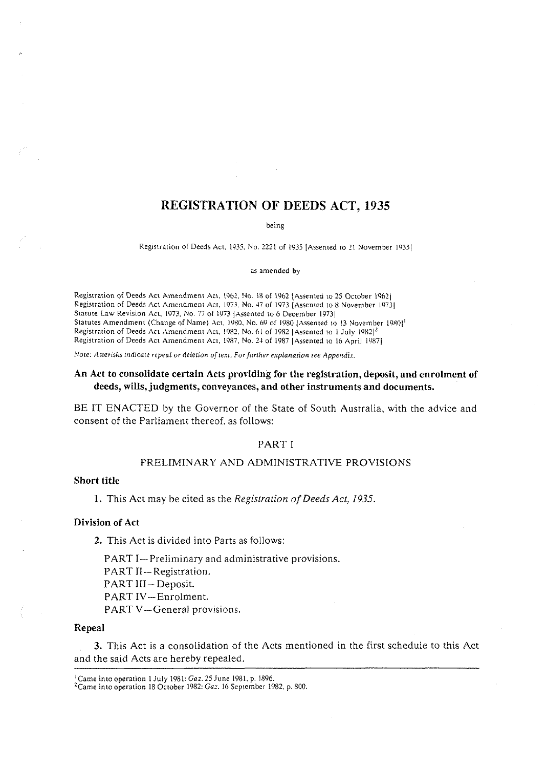# **REGISTRATION OF DEEDS ACT, 1935**

being

Registration of Deeds Act, 1935. No. 2221 of 1935 [Assented to 21 November 1935]

as amended by

Registration o[ Deeds Act Amendment Act. 1962. No. 18 of 1962 {Assented to **25** October 19621 Registration of Deeds Act Amendment Act, 1973, No. 47 of 1973 [Assented to 8 November 1973] Statute Law Revision Act. 1973. No. 77 of 1973 JAssented to 6 December 1973] Statutes Amendment (Change of Name) Act. 1980, No. 69 of 1980 [Assented to 13 November 1980]<sup>1</sup> Registration of Deeds Act Amendment Act. 1982. No. 61 of 1982 [Assented to 1 July 1982]<sup>2</sup> fiegistration of Deeds Act Amendment Act. 1987. No. **24** of 1987 [Assented to ib April iYK7j

Note: Asterisks indicate repeal or deletion of text. For further explanation see Appendix.

## **An Act to consolidate certain Acts providing for the registration, deposit, and enrolment of deeds, wills, judgments, conveyances, and other instruments and documents.**

BE IT ENACTED by the Governor of the State of South Australia, with the advice and consent of the Parliament thereof, as follows:

#### PART I

#### PRELIMINARY AND ADMINISTRATIVE PROVISIONS

#### **Short title**

**1.** This Act may be cited as the *Registration of Deeds Act, 1935.* 

#### **Division of Act**

**2.** This Act is divided into Parts as follows:

PART I-Preliminary and administrative provisions.

- PART II-Registration.
- PART III-Deposit.

PART IV-Enrolment.

PART V-General provisions.

#### **Repeal**

**3.** This Act is a consolidation of the Acts mentioned in the first schedule to this Act and the said Acts are herebv repealed.

<sup>&#</sup>x27;Came into operation I July 1981: Gaz. 25 June 1981. p. 1896.

<sup>&</sup>lt;sup>2</sup> Came into operation 18 October 1982: Gaz. 16 September 1982. p. 800.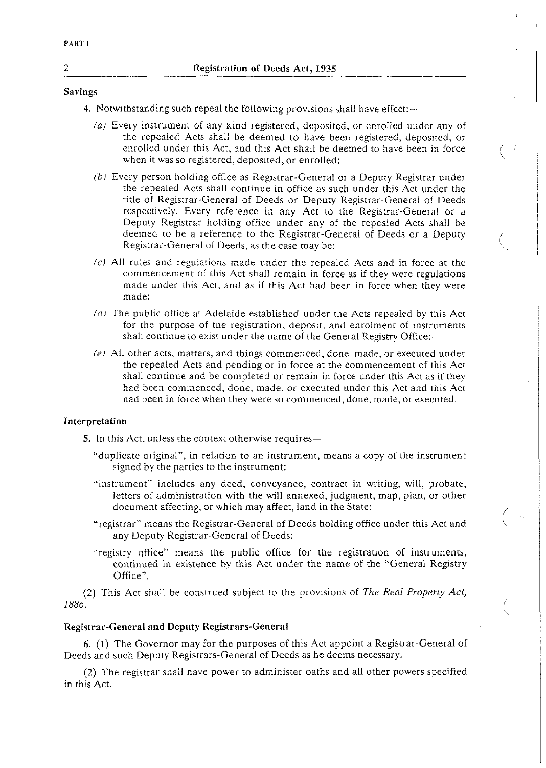## Savings

- 4. Notwithstanding such repeal the following provisions shall have effect:-
	- (a) Every instrument of any kind registered, deposited, or enrolled under any of the repealed Acts shall be deemed to have been registered, deposited, or enrolled under this Act, and this Act shall be deemed to have been in force when it was so registered, deposited, or enrolled:
	- (bi Every person holding office as Registrar-General or a Deputy Registrar under the repealed Acts shall continue in office as such under this Act under the title of Registrar-General of Deeds or Deputy Registrar-General of Deeds respectively. Every reference in any Act to the Registrar-General or a Deputy Registrar holding office under any of the repealed Acts shall be deemed to be a reference to the Registrar-General of Deeds or a Deputy<br>Registrar-General of Deeds, as the case may be:
	- (c) All rules and regulations made under the repealed Acts and in force at the commencement of this Act shall remain in force as if they were regulations made under this Act, and as if this Act had been in force when they were made:
	- (d) The public office at Adelaide established under the Acts repealed by this Act for the purpose of the registration, deposit, and enrolment of instruments shall continue to exist under the name of the General Registry Office:
	- (el All other acts, matters, and things commenced, done, made, or executed under the repealed Acts and pending or in force at the commencement of this Act shall continue and be completed or remain in force under this Act as if they had been commenced, done, made, or executed under this Act and this Act had been in force when they were so commenced, done, made, or executed.

## Interpretation

5. In this Act, unless the context otherwise requires-

- "duplicate original", in relation to an instrument, means a copy of the instrument signed by the parties to the instrument:
- "instrument" includes any deed, conveyance, contract in writing, will, probate, Instrument Increases any deca, conveyance, contract in writing, whi, probate,<br>letters of administration with the will annexed, judgment, map, plan, or other<br>document affecting, or which may affect, land in the State:<br>"regi
- any Deputy Registrar-General of Deeds:
- "registry office" means the public office for the registration of instruments. continued in existence by this Act under the name of the "General Registry Office".

(2) This Act shall be construed subject to the provisions of The Real Property *Acl, 1886.* <sup>I</sup>

## Registrar-General and Deputy Registrars-General

6. (1) The Governor may for the purposes of this Act appoint a Registrar-General of Deeds and such Deputy Registrars-General of Deeds as he deems necessary.

(2) The registrar shall have power to administer oaths and all other powers specified in this Act.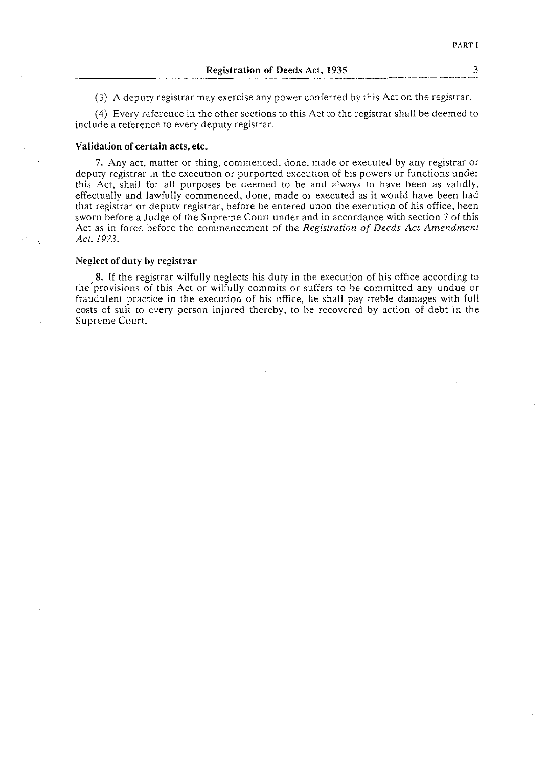| <b>Registration of Deeds Act, 1935</b> |  |  |
|----------------------------------------|--|--|
|----------------------------------------|--|--|

*(3)* A deputy registrar may exercise any power conferred by this Act on the registrar.

(4) Every reference in the other sections to this Act to the registrar shall be deemed to include a reference to every deputy registrar.

#### Validation of certain acts, etc.

**7.** Any act, matter or thing, commenced, done, made or executed by any registrar or deputy registrar in the execution or purported execution of his powers or functions under this Act, shall for all purposes be deemed to be and always to have been as validly, effectually and lawfully commenced, done, made or executed as it would have been had that registrar or deputy registrar, before he entered upon the execution of his office, been sworn before a Judge of the Supreme Court under and in accordance with section 7 of this Act as in force before the commencement of the *Registration of Deeds Act Amendment Act, 1973.* 

#### Neglect of **duty** by registrar

**8.** If the registrar wilfully neglects his duty in the execution of his office according to the'provisions of this Act or wilfully commits or suffers to be committed any undue or fraudulent practice in the execution of his office, he shall pay treble damages with full costs of suit to every person injured thereby, to be recovered by action of debt in the Supreme Court.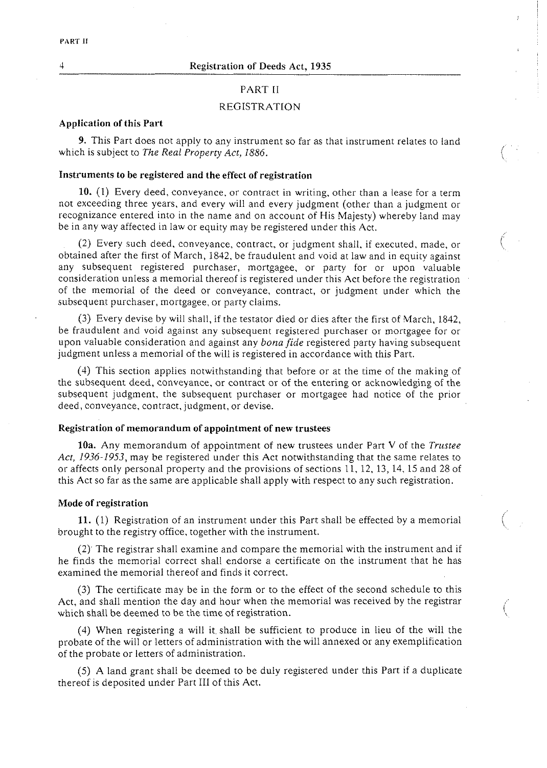$\overline{4}$ 

## PART 11

#### REGISTRATION

#### Application of this Part

9. This Part does not apply to any instrument so far as that instrument relates to land which is subject to The Real Property Act, 1886.

## Instruments to be registered and the effect of registration

10. (1) Every deed, conveyance, or contract in writing, other than a lease for a term not exceeding three years, and every will and every judgment (other than a judgment or recognizance entered into in the name and on account of His Majesty) whereby land may be in any way affected in law or equity may be registered under this Act.

 $\begin{pmatrix} 1 & 1 \\ 1 & 1 \end{pmatrix}$ 

(2) Every such deed, conveyance, contract, or judgment shall, if executed, made. or obtained after the first of March, 1842, be fraudulent and void at law and in equity against any subsequent registered purchaser, mortgagee, or party for or upon valuable consideration unless a memorial thereof is registered under this Act before the registration of the memorial of the deed or conveyance, contract, or judgment under which the subsequent purchaser, mortgagee, or party claims.

(3) Every devise by will shall, if the testator died or dies after the first of March, 1842, be fraudulent and void against any subsequent registered purchaser or mortgagee for or upon valuable consideration and against any *bonafide* registered party having subsequent judgment unless a memorial of the will is registered in accordance with this Part.

(4) This section applies notwithstanding that before or at the time of the making of the subsequent deed, conveyance, or contract or of the entering or acknowledging of the subsequent judgment, the subsequent purchaser or mortgagee had notice of the prior deed, conveyance, contract, judgment, or devise.

#### Registration of memorandum of appointment of new trustees

10a. Any memorandum of appointment of new trustees under Part V of the *Trustee Act, 1936-1953,* may be registered under this Act notwithstanding that the same relates to or affects only personal property and the provisions of sections 11, 12, 13, 14.15 and 28 of this Act so far as the same are applicable shall apply with respect to any such registration.

#### Mode of registration

**11.** (1) Registration of an instrument under this Part shall be effected by a memorial  $\left(\right)$  brought to the registry office, together with the instrument.

(2) The registrar shall examine and compare the memorial with the instrument and if he finds the memorial correct shall endorse a certificate on the instrument that he has examined the memorial thereof and finds it correct.

(3) The certificate may be in the form or to the effect of the second schedule to this Act, and shall mention the day and hour when the memorial was received by the registrar which shall be deemed to be the time of registration.

(4) When registering a will it shall be sufficient to produce in lieu of the will the probate of the will or letters of administration with the will annexed or any exemplification of the probate or letters of administration.

(5) A land grant shall be deemed to be duly registered under this Part if a duplicate thereof is deposited under Part 111 of this Act.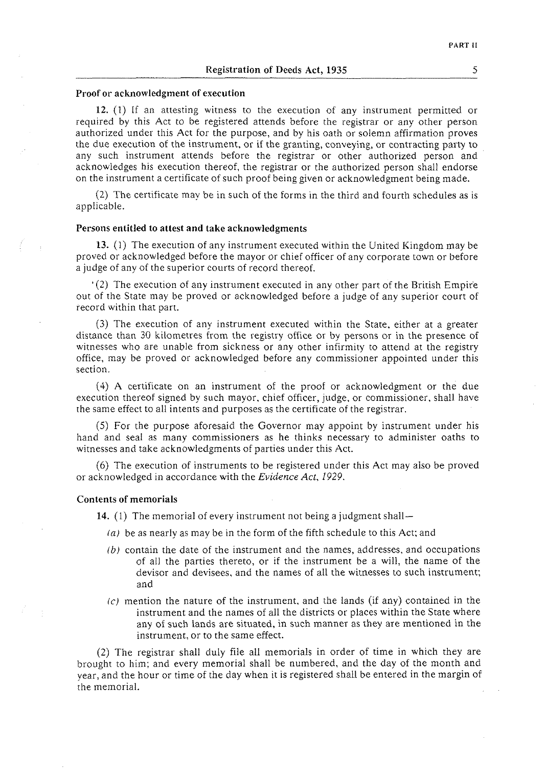#### Proof or acknowledgment of execution

12. (1) If an attesting witness to the execution of any instrument permitred or required by this Act to be registered attends before the registrar or any other person authorized under this Act for the purpose, and by his oath or solemn affirmation proves the due execution of the instrument, or if the granting, conveying, or contracting party to any such instrument attends before the registrar or other authorized person and acknowledges his execution thereof, the registrar or the authorized person shall endorse on the instrument a certificate of such proof being given or acknowledgment being made.

(2) The certificate may be in such of the forms in the third and fourth schedules as is applicable.

#### Persons entitled to attest and take acknowledgments

**13.** (1) The execution of any instrument executed within the United Kingdom may be proved or acknowledged before the mayor or chief officer of any corporate town or before a judge of any of the superior courts of record thereof.

 $(2)$  The execution of any instrument executed in any other part of the British Empire out of the State may be proved or acknowledged before a judge of any superior court of record within that part.

(3) The execution of any instrument executed within the State, either at a greater distance than 30 kilometres from the registry office or by persons or in the presence of witnesses who are unable from sickness or any other infirmity to attend at the registry office, may be proved or acknowledged before any commissioner appointed under this section.

(4) A certificate on an instrument of the proof or acknowledgment or the due execution thereof signed by such mayor, chief officer, judge, or commissioner, shall have the same effect to all intents and purposes as the certificate of the registrar.

(5) For the purpose aforesaid the Governor may appoint by instrument under his hand and seal as many commissioners as he thinks necessary to administer oaths to witnesses and take acknowledgments of parties under this Act.

(6) The execution of instruments to be registered under this Act may also be proved or acknowledged in accordance with the *Evidence Act.* 1929.

#### Contents of memorials

14. (1) The memorial of every instrument not being a judgment shall—

- $(a)$  be as nearly as may be in the form of the fifth schedule to this Act; and
- *(b)* contain the date of the instrument and the names, addresses, and occupations of all the parties thereto, or if the instrument be a will, the name of the devisor and devisees, and the names of all the witnesses to such instrument; and
- $(t)$  mention the nature of the instrument, and the lands (if any) contained in the instrument and the names of all the districts or places within the State where any of such lands are situated, in such manner as they are mentioned in the instrument, or to the same effect.

(2) The registrar shall duly file all memorials in order of time in which they are brought to him; and every memorial shall be numbered, and the day of the month and year, and the hour or time of the day when it is registered shall be entered in the margin of the memorial.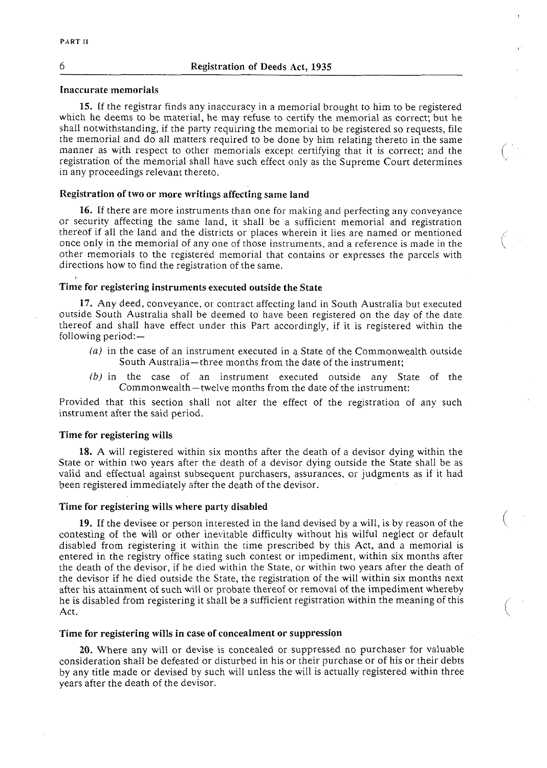#### *6* Registration of Deeds Act. **1935**

### Inaccurate memorials

**15.** If the registrar finds any inaccuracy in a memorial brought to him to be registered which he deems to be material, he may refuse to certify the memorial as correct; but he shall notwithstanding, if the party requiring the memorial to be registered so requests, file the memorial and do all matters required to be done by him relating thereto in the same manner as with respect to other memorials except certifying that it is correct; and the registration of the memorial shall have such effect only as the Supreme Court determines in any proceedings relevant thereto.

 $\bigodot$ 

### Registration of two or more writings affecting same land

16. If there are more instruments than one for making and perfecting any conveyance or security affecting the same land, it shall be a sufficient memorial and registration thereof if all the land and the districts or places wherein it lies are named or mentioned once only in the memorial of any one of those instruments, and a reference is made in the other memorials to the registered memorial that contains or expresses the parcels with directions how to find the registration of the same.

#### Time for registering instruments executed outside the State

17. Any deed, conveyance, or contract affecting land in South Australia but executed outside South Australia shall be deemed to have been registered on the day of the date thereof and shall have effect under this Part accordingly, if it is registered within the following period:-

- (a) in the case of an instrument executed in a State of the Commonwealth outside South Australia-three months from the date of the instrument:
- *(b)* in the case of an instrument executed outside any State of the Commonwealth-twelve months from the date of the instrument:

Provided that this section shall not alter the effect of the registration of any such instrument after the said period.

#### Time for registering wills

18. A will registered within six months after the death of a devisor dying within the State or within two years after the death of a devisor dying outside the State shall be as valid and effectual against subsequent purchasers, assurances, or judgments as if it had been registered immediately after the death of the devisor.

#### Time for registering wills where party disabled

**19.** If the devisee or person interested in the land devised by a will, is by reason of the contesting of the will or other inevitable difficulty without his wilful neglect or default disabled from registering it within the time prescribed by this Act, and a memorial is entered in the registry office stating such contest or impediment, within six months after the death of the devisor, if he died within the State, or within two years after the death of the devisor if he died outside the State, the registration of the will within six months next after his attainment of such will or probate thereof or removal of the impediment whereby he is disabled from registering it shall be a sufficient registration within the meaning of this Act.

#### Time for registering wills in case of concealment or suppression

**20.** Where any wili or devise is concealed or suppressed no purchaser for valuable consideration shall be defeated or disturbed in his or their purchase or of his or their debts by any title made or devised by such will unless the will is actually registered within three years after the death of the devisor.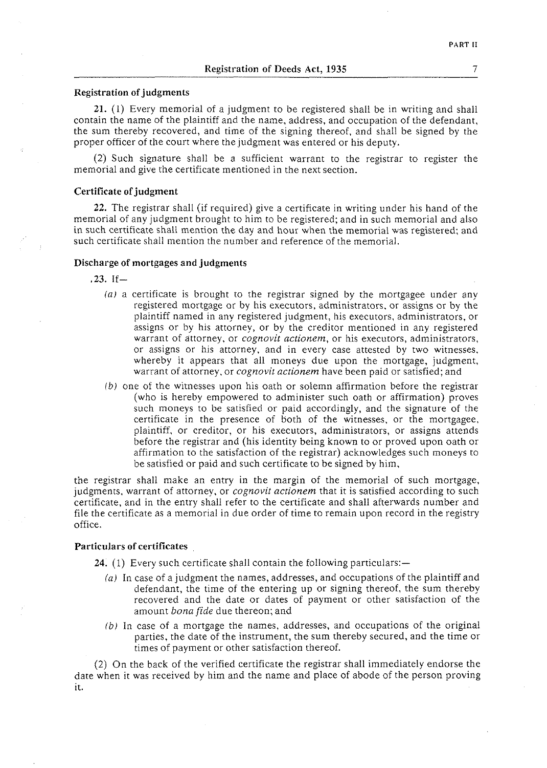#### Registration of judgments

**21.** (1) Every memorial of a judgment to be registered shail be in writing and shall contain the name of the plaintiff and the name, address, and occupation of the defendant, the sum thereby recovered, and time of the signing thereof, and shall be signed by the proper officer of the court where the judgment was entered or his deputy.

(2) Such signature shall be a sufficient warrant to the registrar to register the memorial and give the certificate mentioned in the next section.

#### Certificate of judgment

**22.** The registrar shall (if required) give a certificate in writing under his hand of the memorial of any judgment brought to him to be registered; and in such memorial and also in such certificate shall mention the day and hour when the memorial was registered: and such certificate shall mention the number and reference of the memorial.

## Discharge of mortgages and judgments

**.23.** If-

- *(a)* a certificate is brought to the registrar signed by the mortgagee under any registered mortgage or by his executors, administrators, or assigns or by the plaintiff named in any registered judgment, his executors, administrators, or assigns or by his attorney, or by the creditor mentioned in any registered warrant of attorney, or *cognovit nctionem,* or his executors, administrators, or assigns or his attorney, and in every case attested by two witnesses, whereby it appears that all moneys due upon the mortgage, judgment, warrant of attorney, or *cognovit actionem* have been paid or satisfied; and
- *lb)* one of the witnesses upon his oath or solemn affirmation before the registrar (who is hereby empowered to administer such oath or affirmation) proves such moneys to be satisfied or paid accordingly, and the signature of the certificate in the presence of both of the witnesses, or the mortgagee, plaintiff, or creditor, or his executors, administrators, or assigns attends before the registrar and (his identity being known to or proved upon oath or affirmation to the satisfaction of the registrar) acknowledges such moneys to be satisfied or paid and such certificate to be signed by him.

the registrar shall make an entry in the margin of the memorial of such mortgage, judgments, warrant of attorney, or *cognovit actionem* that it is satisfied according to such certificate, and in the entry shall refer to the certificate and shall afterwards number and file the certificate as a memorial in due order of time to remain upon record in the registry office.

#### Particulars of certificates

**24.** (1) Every such certificate shall contain the following particulars:

- *(a)* in case of a judgment the names, addresses, and occupations of the plaintiff and defendant, the time of the entering up or signing thereof, the sum thereby recovered and the date or dates of payment or other satisfaction of the amount *bonn fide* due thereon; and
- *(b)* In case of a mortgage the names, addresses, and occupations of the original parties, the date of the instrument, the sum thereby secured, and the time or times of payment or other satisfaction thereof.

(2) On the back of the verified certificate the registrar shall immediately endorse the date when it was received by him and the name and place of abode of the person proving it.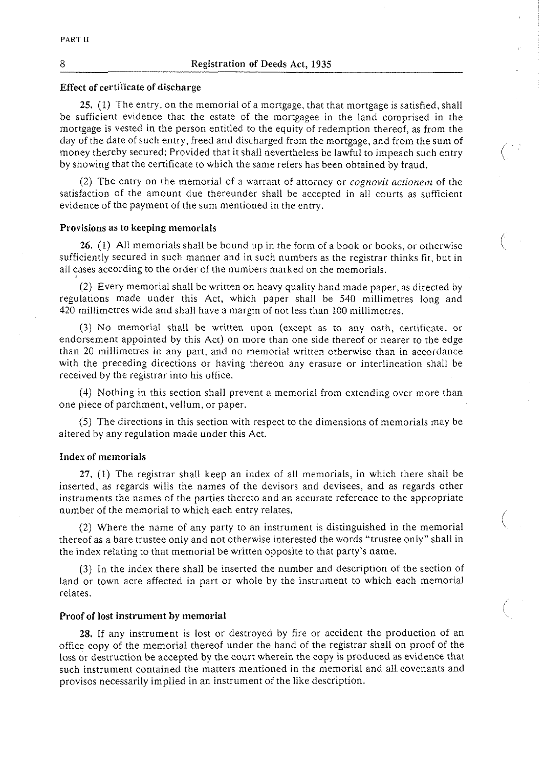#### Effect of certiiicate of discharge

25. (1) The entry, on the memorial of a mortgage, that that mortgage is satisfied, shall be sufficient evidence that the estate of the mortgagee in the land comprised in the mortgage is vested in the person entitled to the equity of redemption thereof, as from the day of the date of such entry, freed and discharged from the mortgage, and from the sum of<br>money thereby secured: Provided that it shall nevertheless be lawful to impeach such entry (C) and the money o by showing that the certificate to which the same refers has been obtained by fraud.

(2) The entry on the memorial of a warrant of attorney or **cognovit** *actionem* of the satisfaction of the amount due thereunder shall be accepted in all courts as sufficient evidence of the payment of the sum mentioned in the entry.

#### Provisions as to keeping memorials

26. (1) All memorials shall be bound up in the form of a book or books, or otherwise sufficiently secured in such manner and in such numbers as the registrar thinks fit, but in all cases according to the order of the numbers marked on the memorials.

 $\overline{\phantom{0}}$ 

(2) Every memorial shall be written on heavy quality hand made paper, as directed by regulations made under this Act, which paper shall be 540 millimetres long and 420 millimetres wide and shall have a margin of not less than 100 millimetres.

(3) No memorial shall be written upon (except as to any oath, certificate, or endorsement appointed by this Act) on more than one side thereof or nearer to the edge than 20 millimetres in any part, and no memorial written otherwise than in accordance with the preceding directions or having thereon any erasure or interlineation shall be received by the registrar into his office.

(4) Nothing in this section shall prevent a memorial from extending over more than one piece of parchment, vellum, or paper.

*(5)* The directions in this section with respect to the dimensions of memorials may be altered by any regulation made under this Act.

#### Index of memorials

**27.** (1) The registrar shall keep an index of all memorials, in which there shall be inserted, as regards wills the names of the devisors and devisees, and as regards other instruments the names of the parties thereto and an accurate reference to the appropriate number of the memorial to which each entry relates.

(2) Where the name of any party to an instrument is distinguished in the memorial thereof as a bare trustee only and not otherwise interested the words "trustee only" shall in the index relating to that memorial be written opposite to that party's name.

**(3)** In the index there shall be inserted the number and description of the section of land or town acre affected in part or whole by the instrument to which each memorial relates.

#### Proof of lost instrument **by** memorial

**28.** If any instrument is lost or destroyed by fire or accident the production of an office copy of the memorial thereof under the hand of the registrar shall on proof of the loss or destruction be accepted by the court wherein the copy is produced as evidence that such instrument contained the matters mentioned in the memorial and all covenants and provisos necessarily implied in an instrument of the like description.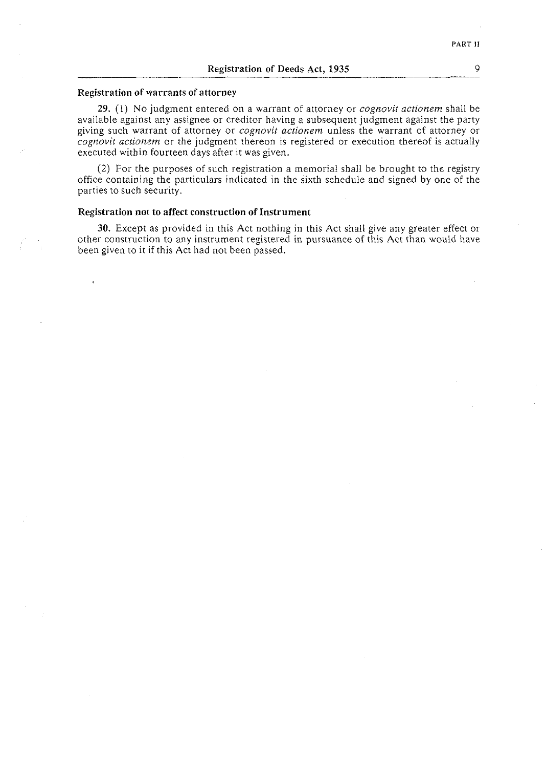#### **Registration of warrants of attorney**

**29.** (I) No judgment entered on a warrant of attorney or *cognovit actionem* shall be available against any assignee or creditor having a subsequent judgment against the party giving such warrant of attorney or *cognovit accionem* unless the warrant of attorney or *cognovit actionem* or the judgment thereon is registered or execution thereof is actually executed within fourteen days after it was given.

(2) For the purposes of such registration a memorial shall be brought to the registry office containing the particulars indicated in the sixth schedule and signed by one of the parties to such security.

#### **Registration not to affect construction of Instrument**

**30.** Except as provided in this Act nothing in this Act shall give any greater effect or other construction to any instrument registered in pursuance of this Act than would have been given to it if this Act had not been passed.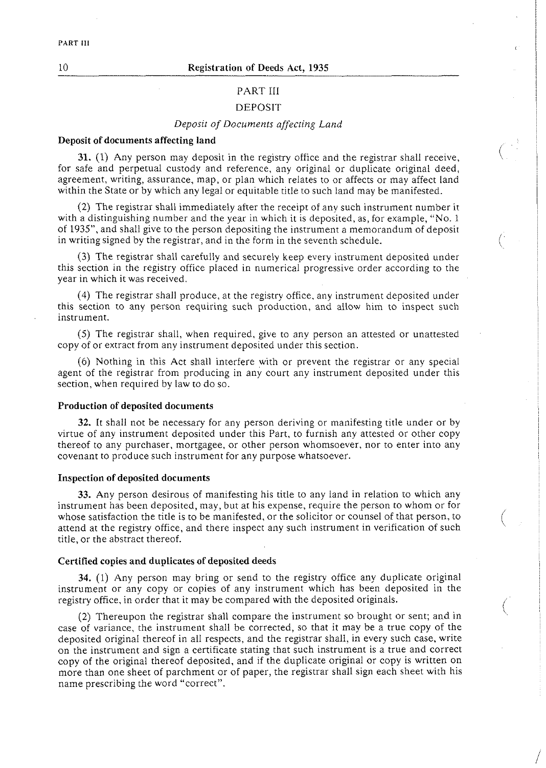## PART III

### DEPOSIT

## *Deposit of Documents affecring Land*

#### Deposit of documents affecting land

**31.** (1) Any person may deposit in the registry office and the registrar shall receive, for safe and perpetual custody and reference, any original or duplicate original deed, agreement, writing, assurance, map, or plan which relates to or affects or may affect land within the State or by which any legal or equitable title to such land may be manifested.

(2) The registrar shall immediately after the receipt of any such instrument number it with a distinguishing number and the year in which it is deposited, as, for example, "No. 1 of 1935", and shall give to the person depositing the instrument a memorandum of deposit in writing signed by the registrar, and in the form in the seventh schedule.

(3) The registrar shall carefully and securely keep every insrrument deposited under this section in the registry office placed in numerical progressive order according to the year in which it was received.

(4) The registrar shall produce, at the registry office, any instrument deposited under this section to any person requiring such production, and allow him to inspect such insrrument.

(5) The registrar shall, when required, give to any person an attested or unattested copy of or extract from any instrument deposited under this section.

(6) Nothing in this Act shall interfere with or prevent the registrar or any special agent of the registrar from producing in any court any instrument deposited under this section, when required by law to do so.

#### Production of deposited documents

**32.** It shall not be necessary for any person deriving or manifesting title under or by virtue of any instrument deposited under this Part, to furnish any attested or other copy thereof to any purchaser, mortgagee, or other person whomsoever, nor to enter into any covenant to produce such instrument for any purpose whatsoever.

#### Inspection of deposited documents

**33.** Any person desirous of manifesting his title to any land in relation to which any instrument has been deposited, may, but at his expense, require the person to whom or for whose satisfaction the title is to be manifested, or the solicitor or counsel of that person, to attend at the registry office, and there inspect any such instrument in verification of such title, or the abstract thereof.

#### Certified copies and duplicates of deposited deeds

**34.** (1) Any person may bring or send to the registry office any duplicate original instrument or any copy or copies of any instrument which has been deposited in the registry office, in order that it may be compared with the deposited originals.

(2) Thereupon the registrar shall compare the instrument so brought or sent; and in case of variance, the instrument shall be corrected, so that it may be a true copy of the deposited original thereof in all respects, and the registrar shall, in every such case, write on the instrument and sign a certificate stating that such instrument is a true and correct copy of the original thereof deposited, and if the duplicate original or copy is written on more than one sheet of parchment or of paper, the registrar shall sign each sheet with his name prescribing the word "correct".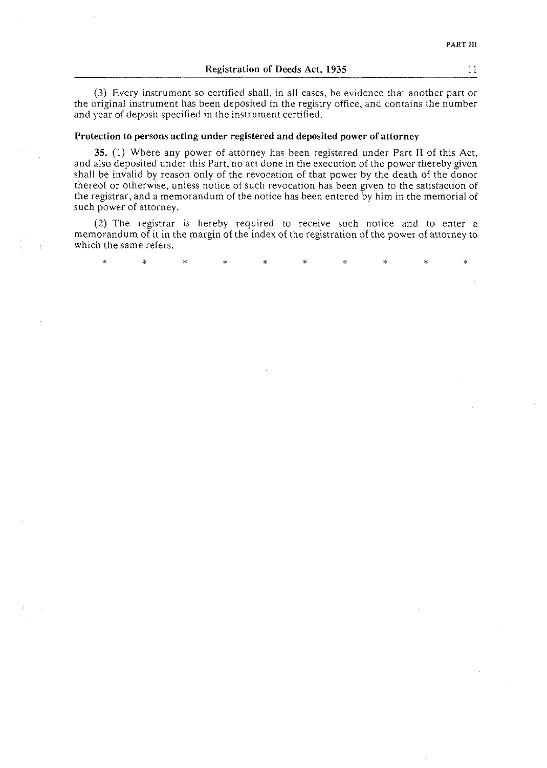**(3)** Every instrument so certified shall, in all cases, be evidence that another part or the original instrument has been deposited in the registry office, and contains the number and year of deposit specified in the instrument certified.

#### Protection to persons acting under registered and deposited power of attorney

35. (1) Where any power of attorney has been registered under Part **I1** of this Act, and also deposited under this Part, no act done in the execution of the power thereby given shall be invalid by reason only of the revocation of that power by the death of the donor thereof or otherwise, unless notice of such revocation has been given to the satisfaction of the registrar, and a memorandum of the notice has been entered by him in the memorial of such power of attorney.

*(2)* The registrar is hereby required to receive such notice and to enter a memorandum of it in the margin of the index of the registration of the power of attorney to which the same refers.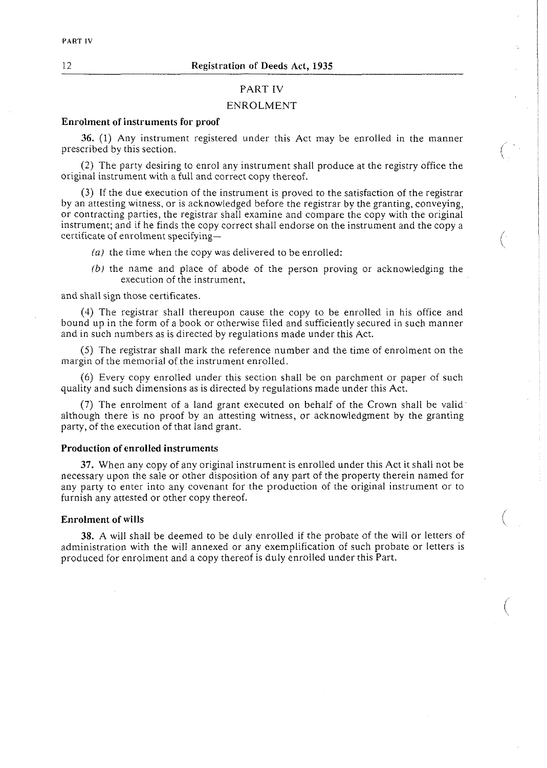#### PART IV

#### ENROLMENT

## Enrolment of instruments for proof

*36.* (1) Any instrument registered under this Act may be enrolled in the manner prescribed by this section.

(2) The party desiring to enrol any instrument shall produce at the registry office the original instrument with a full and correct copy thereof.

(3) If the due execution of the instrument is proved to the satisfaction of the registrar by an attesting witness, or is acknowledged before the registrar by the granting, conveying, or contracting parties, the registrar shall examine and compare the copy with the original instrument; and if he finds the copy correct shall endorse on the instrument and the copy a certificate of enrolment specifying-

- (a) the time when the copy was delivered to be enrolled:
- *(b)* the name and place of abode of the person proving or acknowledging the execution of the instrument,

 $\left(\frac{1}{2}\right)$ 

 $\Big($ 

and shall sign those certificates.

(4) The registrar shall thereupon cause the copy to be enrolled in his office and bound up in the form of a book or otherwise filed and sufficiently secured in such manner and in such numbers as is directed by regulations made under this Act.

(5) The registrar shall mark the reference number and the time of enrolment on the margin of the memorial of the instrument enrolled.

(6) Every copy enrolled under this section shall be on parchment or paper of such quality and such dimensions as is directed by regulations made under this Act.

(7) The enrolment of a land grant executed on behalf of the Crown shall be valid although there is no proof by an attesting witness, or acknowledgment by the granting party, of the execution of that land grant.

#### Production of enrolled instruments

**37.** When any copy of any original instrument is enrolled under this Act it shall not be necessary upon the sale or other disposition of any part of the property therein named for any party to enter into any covenant for the production of the original instrument or to furnish any attested or other copy thereof.

#### Enrolment of wills

**38.** A will shall be deemed to be duly enrolled if the probate of the will or letters of administration with the will annexed or any exemplification of such probate or letters is produced for enrolment and a copy thereof is duly enrolled under this Part.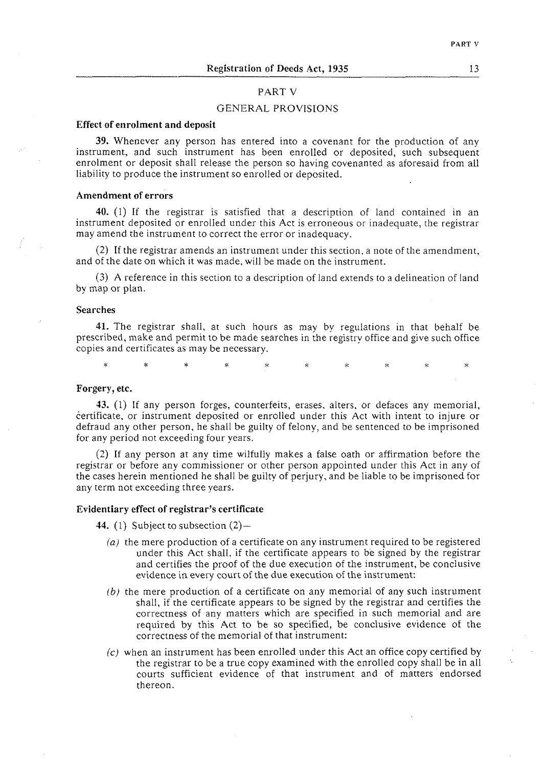### PART V

### GENERAL PROVISIONS

#### Effect of enrolment and deposit

**39.** Whenever any person has entered into a covenant for the production of any instrument, and such instrument has been enrolled or deposited, such subsequent enrolment or deposit shall release the person so having covenanted as aforesaid from all liability to produce the instrument so enrolled or deposited.

#### Amendment of errors

**40.** (1) If the registrar is satisfied that a description of land contained in an instrument deposited or enrolled under this Act is erroneous or inadequate, the registrar may amend the instrument to correct the error or inadequacy.

(2) If the registrar amends an instrument under this section, a note of the amendment, and of the date on which it was made, will be made on the instrument.

(3) A reference in this section to a description of land extends to a delineation of land by map or plan.

#### Searches

**41.** The registrar shall, at such hours as may by regulations in that behalf be prescribed, make and permit to be made searches in the registry office and give such office copies and certificates as may be necessary.

 $\dot{\mathbf{x}}$ 

#### Forgery, etc.

**43.** (1) If any person forges, counterfeits, erases. alters, or clefaces any memorial, certificate, or instrument deposited or enrolled under this Act with intent to injure or defraud any other person, he shall be guilty of felony, and be sentenced to be imprisoned for any period not exceeding four years.

(2) If any person at any time wilfully makes a false oath or affirmation before the registrar or before any commissioner or other person appointed under this Act in any of the cases herein mentioned he shall be guilty of perjury, and be liable to be imprisoned for any term not exceeding three years.

#### Evidentiary effect of registrar's certificate

**44.** (1) Subject to subsection (2)—

- (a) the mere production of a certificate on any instrument required to be registered under this Act shall, if the certificate appears to be signed by the registrar and certifies the proof of the due execution of the instrument, be conclusive evidence in every court of the due execution of the instrument:
- $(b)$  the mere production of a certificate on any memorial of any such instrument shall, if the certificate appears to be signed by the registrar and certifies the correctness of any matters which are specified in such memorial and are required by this Act to be so specified, be conclusive evidence of the correctness of the memorial of that instrument:
- (c) when an instrument has been enrolled under this Act an office copy certified by the registrar to be a true copy examined with the enrolled copy shall be in all courts sufficient evidence of that instrument and of matters 'endorsed thereon.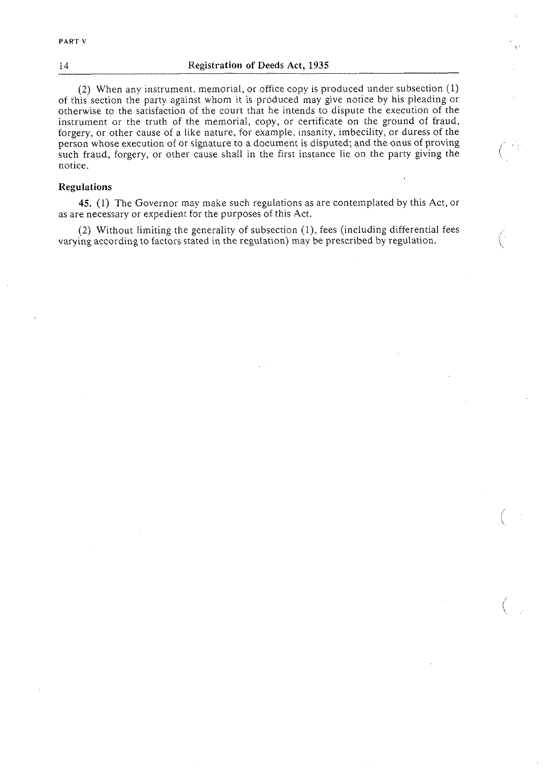#### 14 Registration of Deeds Act, **1935**

(2) When any instrument, memorial, or office copy is produced under subsection (1) of this section the party against whom it is produced may give notice by his pleading or otherwise to the satisfaction of the court that he intends to dispute the execution of the instrument or the truth of the memorial, copy, or certificate on the ground of fraud, forgery, or other cause of a like nature, for example, insanity, imbecility, or duress of the person whose execution of or signature to a document is disputed; and the onus of proving such fraud, forgery, or other cause shall in the first instance lie on the party giving the notice.

#### Regulations

45. (1) The Governor may make such regulations as are contemplated by this Act, or as are necessary or expedient for the purposes of this Act.

(2) Without limiting the generality of subsection (I), fees (including differential fees varying according to factors stated in the regulation) may be prescribed by regulation. \x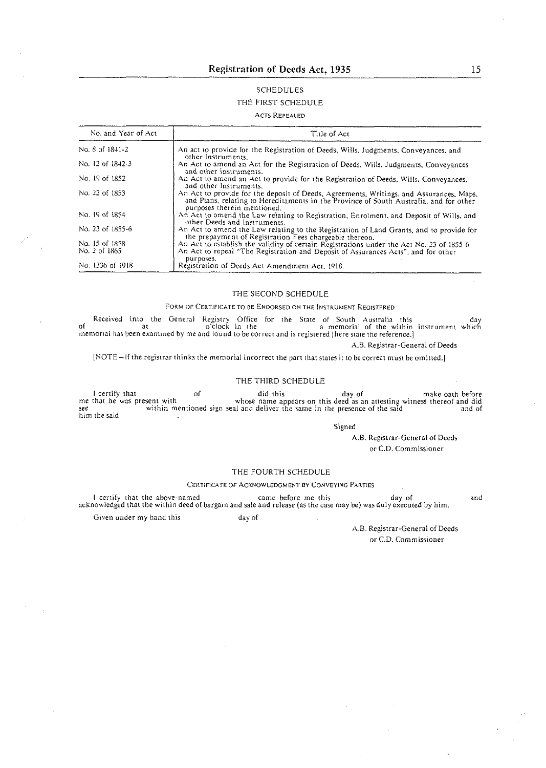# SCHEDULES

## THE FIRST SCHEDULE

#### ACTS REPEALED

| No. and Year of Act | Title of Act                                                                                                                                                                                                     |  |  |
|---------------------|------------------------------------------------------------------------------------------------------------------------------------------------------------------------------------------------------------------|--|--|
| No. 8 of 1841-2     | An act to provide for the Registration of Deeds, Wills, Judgments, Conveyances, and<br>other Instruments.                                                                                                        |  |  |
| No. 12 of 1842 3    | An Act to amend an Act for the Registration of Deeds, Wills, Judgments, Conveyances<br>and other instruments.                                                                                                    |  |  |
| No. 19 of 1852      | An Act to amend an Act to provide for the Registration of Deeds, Wills, Conveyances,<br>and other Instruments.                                                                                                   |  |  |
| No. 22 of 1853      | An Act to provide for the deposit of Deeds, Agreements, Writings, and Assurances, Maps,<br>and Plans, relating to Hereditaments in the Province of South Australia, and for other<br>purposes therein mentioned. |  |  |
| No. 19 of 1854      | An Act to amend the Law relating to Registration, Enrolment, and Deposit of Wills, and<br>other Deeds and Instruments.                                                                                           |  |  |
| No. 23 of 1855-6    | An Act to amend the Law relating to the Registration of Land Grants, and to provide for<br>the prepayment of Registration Fees chargeable thereon.                                                               |  |  |
| No. 15 of 1858      | An Act to establish the validity of certain Registrations under the Act No. 23 of 1855-6.                                                                                                                        |  |  |
| No. 2 of 1865       | An Act to repeal "The Registration and Deposit of Assurances Acts", and for other<br>purposes.                                                                                                                   |  |  |
| No. 1336 of 1918    | Registration of Deeds Act Amendment Act, 1918.                                                                                                                                                                   |  |  |

THE SECOND SCHEDULE

#### FORM OF CERTIFICATE TO BE ENDORSED ON THE INSTRUMENT REGISTERED

Received into the General Registry Office for the State of South Australia this<br>of at at o'clock in the a memorial of the within instrument which<br>memorial has been examined by meand found to be correct and is registered [h

A.B. Registrar-General of Deeds

[NOTE-If the registrar thinks the memorial incorrect the part that states it to be correct must be omitted.]

#### THE THIRD SCHEDULE

I certify that of this day of make oath before<br>me that he was present with whose name appears on this deed as an attesting witness thereof and did<br>within mentioned sign seal and deliver the same in the presence of the said him the said

Signed

A.B. Registrar-General of Deeds or C.D. Commissioner

#### THE FOURTH SCHEDULE

#### CERTIFICATE OF ACKNOWLEDGMENT **BY** CONVEYING PARTIES

and I certify that the above-named came before me this **day** of acknowledged that the within deed of bargain and sale and release (as the case may be) was duly executed by him. Given under my hand this day of

> A.B. Registrar-General of Deeds or C.D. Commissioner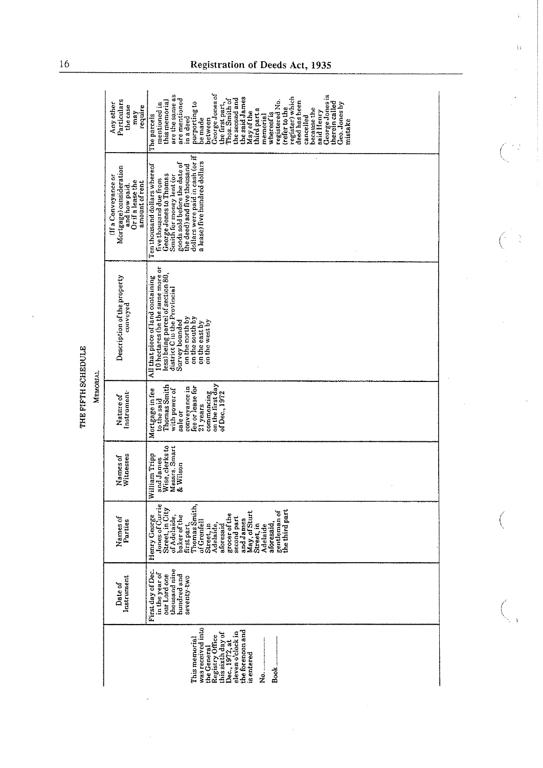|                         | Particulars<br>Any other<br>the case<br>require<br>may                                                 | George Jones of<br>are the same as<br>George Jones is<br>register) which<br>the said James<br>are mentioned<br>the second and<br>Thos. Smith of<br>registered No.<br>this memorial<br>deed has been<br>therein called<br>purporting to<br>the first part,<br>Geo. Jones by<br>mentioned in<br>treter to the<br>because the<br>third part a<br>said Henry<br>May of the<br>whereof is<br>The parcels<br>memorial<br>cancelled<br>in a deed<br>be made<br>between<br>mistake |
|-------------------------|--------------------------------------------------------------------------------------------------------|----------------------------------------------------------------------------------------------------------------------------------------------------------------------------------------------------------------------------------------------------------------------------------------------------------------------------------------------------------------------------------------------------------------------------------------------------------------------------|
| <u>יינוניטיים ויינו</u> | Mortgage) consideration<br>(If a Conveyance or<br>Or if a lease the<br>amount of rent<br>and how paid. | dollars were paid in cash (or if<br>a lease) five hundred dollars<br>goods sold before the date of<br>Ten thousand dollars whereof<br>the deed) and five thousand<br>George Jones to Thomas<br>Smith for money lent (or<br>five thousand due from                                                                                                                                                                                                                          |
|                         | Description of the property<br>conveyed                                                                | 10 hectares (be the same more or<br>less) being parcel of section 80,<br>All that piece of land containing<br>district C in the Provincial<br>on the north by<br>on the south by<br>Survey bounded<br>on the west by<br>on the east by                                                                                                                                                                                                                                     |
|                         | Instrument <sup>.</sup><br>Nature of                                                                   | commencing<br>on the first day<br><b>Thomas Smith</b><br>conveyance in<br>fee or lease for<br>with power of<br>Mortgage in fee<br>of Dec., 1972<br>to the said<br>21 years<br>sale or                                                                                                                                                                                                                                                                                      |
|                         | Names of<br>Witnesses                                                                                  | Wise, clerks to<br>Messrs. Smart<br>William Tripp<br>and James<br>& Wilson                                                                                                                                                                                                                                                                                                                                                                                                 |
|                         | Names of<br>Parties                                                                                    | Jones of Currie<br>first part,<br>Thomas Smith,<br>Street, in City<br>the third part<br>gentleman of<br>May, of Sturt<br>grocer of the<br>Henry George<br>of Adelaide,<br>baker of the<br>second part<br>and James<br>of Grenfell<br>aforesaid,<br>Street, in<br>Street, in<br>Adelaide,<br>Adelaide<br>aforesaid                                                                                                                                                          |
|                         | Instrument<br>Date of                                                                                  | thousand nine<br>First day of Dec<br>in the year of<br>our Lord one<br>hundred and<br>seventy-two                                                                                                                                                                                                                                                                                                                                                                          |
|                         |                                                                                                        | was received into<br>the forenoon and<br>eleven o'clock in<br>this sixth day of<br>Registry Office<br>This memorial<br>Dec. 1972, at<br>the General<br><b>is</b> entered                                                                                                                                                                                                                                                                                                   |

THE FIFTH SCHEDULE

**MEMORIAL** 

# 16 **Registration of Deeds Act, 1935**

 $\frac{1}{2}$ 

 $\Omega$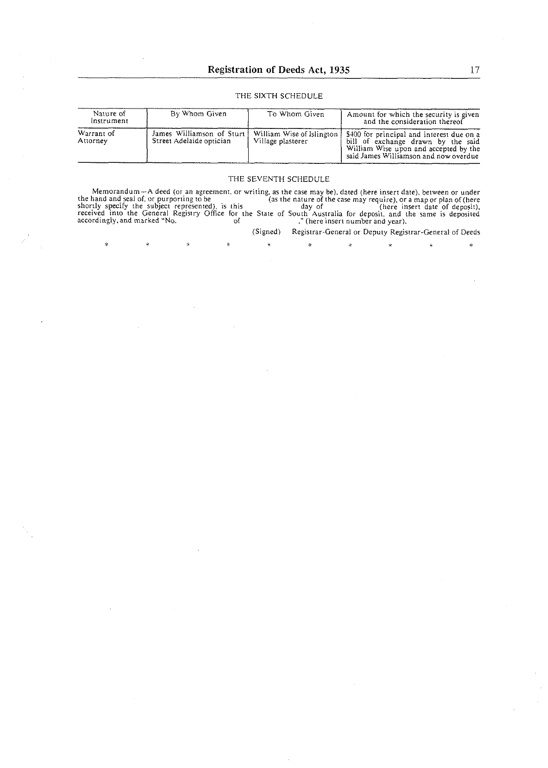## THE SIXTH SCHEDULE

| Nature of<br>Instrument | By Whom Given                                         | To Whom Given                                  | Amount for which the security is given<br>and the consideration thereof                                                                                           |
|-------------------------|-------------------------------------------------------|------------------------------------------------|-------------------------------------------------------------------------------------------------------------------------------------------------------------------|
| Warrant of<br>Attorney  | James Williamson of Sturt<br>Street Adelaide optician | William Wise of Islington<br>Village plasterer | \$400 for principal and interest due on a<br>bill of exchange drawn by the said<br>William Wise upon and accepted by the<br>said James Williamson and now overdue |

#### THE SEVENTH SCHEDULE

Memorandum-A deed (or an agreemeni. or writing. as the case may be), dated (here insert date), between or under the hand and seal of, or purporting to be (as the nature of the case may require), or a map or plan of (here insert date of deposit).  $\frac{1}{2}$  day of (here insert date of deposit). receivid into-the General RGistry Office ior the State of ~ouih~Australia for deposii. and the same is depb;i&d accordingly. and marked "No. of ." (here insert number and year).

 $\dot{\mathbf{x}}$ 

ż

 $\dot{\mathbf{x}}$ 

 $\dot{\mathbf{r}}$ 

(Signed) Registrar-General or Deputy Registrar-General of Deeds

\* \*

 $\hat{\mathbf{x}}$ 

k.